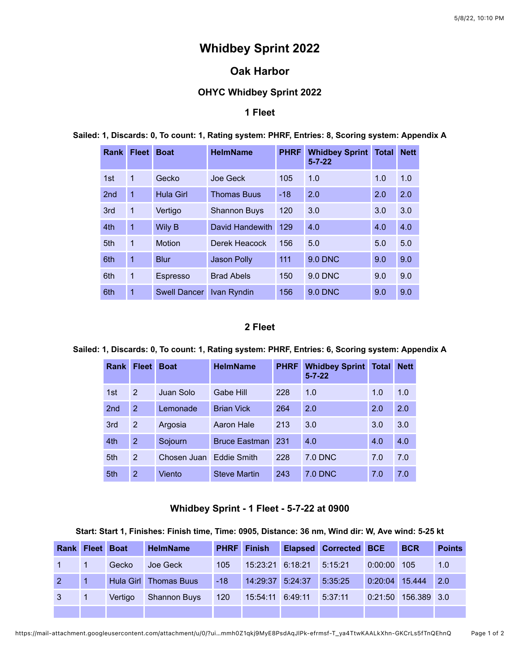# **Whidbey Sprint 2022**

# **Oak Harbor**

# **OHYC Whidbey Sprint 2022**

### **1 Fleet**

| <b>Rank</b>     | <b>Fleet</b> | <b>Boat</b>         | <b>HelmName</b>     | <b>PHRF</b> | <b>Whidbey Sprint</b><br>$5 - 7 - 22$ | <b>Total</b> | <b>Nett</b> |
|-----------------|--------------|---------------------|---------------------|-------------|---------------------------------------|--------------|-------------|
| 1st             | 1            | Gecko               | Joe Geck            | 105         | 1.0                                   | 1.0          | 1.0         |
| 2 <sub>nd</sub> | $\mathbf{1}$ | <b>Hula Girl</b>    | <b>Thomas Buus</b>  | $-18$       | 2.0                                   | 2.0          | 2.0         |
| 3rd             | $\mathbf{1}$ | Vertigo             | <b>Shannon Buys</b> | 120         | 3.0                                   | 3.0          | 3.0         |
| 4th             | $\mathbf{1}$ | Wily B              | David Handewith     | 129         | 4.0                                   | 4.0          | 4.0         |
| 5th             | $\mathbf{1}$ | Motion              | Derek Heacock       | 156         | 5.0                                   | 5.0          | 5.0         |
| 6th             | 1            | <b>Blur</b>         | <b>Jason Polly</b>  | 111         | <b>9.0 DNC</b>                        | 9.0          | 9.0         |
| 6th             | $\mathbf{1}$ | <b>Espresso</b>     | <b>Brad Abels</b>   | 150         | 9.0 DNC                               | 9.0          | 9.0         |
| 6th             | 1            | <b>Swell Dancer</b> | Ivan Ryndin         | 156         | 9.0 DNC                               | 9.0          | 9.0         |

**Sailed: 1, Discards: 0, To count: 1, Rating system: PHRF, Entries: 8, Scoring system: Appendix A**

#### **2 Fleet**

#### **Sailed: 1, Discards: 0, To count: 1, Rating system: PHRF, Entries: 6, Scoring system: Appendix A**

| Rank            | <b>Fleet</b> | <b>Boat</b> | <b>HelmName</b>      | <b>PHRF</b> | <b>Whidbey Sprint</b><br>$5 - 7 - 22$ | <b>Total</b> | <b>Nett</b> |
|-----------------|--------------|-------------|----------------------|-------------|---------------------------------------|--------------|-------------|
| 1st             | 2            | Juan Solo   | Gabe Hill            | 228         | 1.0                                   | 1.0          | 1.0         |
| 2 <sub>nd</sub> | 2            | Lemonade    | <b>Brian Vick</b>    | 264         | 2.0                                   | 2.0          | 2.0         |
| 3rd             | 2            | Argosia     | Aaron Hale           | 213         | 3.0                                   | 3.0          | 3.0         |
| 4th             | 2            | Sojourn     | <b>Bruce Eastman</b> | 231         | 4.0                                   | 4.0          | 4.0         |
| 5th             | 2            | Chosen Juan | <b>Eddie Smith</b>   | 228         | <b>7.0 DNC</b>                        | 7.0          | 7.0         |
| 5th             | 2            | Viento      | <b>Steve Martin</b>  | 243         | 7.0 DNC                               | 7.0          | 7.0         |

#### **Whidbey Sprint - 1 Fleet - 5-7-22 at 0900**

#### **Start: Start 1, Finishes: Finish time, Time: 0905, Distance: 36 nm, Wind dir: W, Ave wind: 5-25 kt**

| <b>Rank Fleet Boat</b>       |                |         | <b>HelmName</b>       |       | <b>PHRF</b> Finish | <b>Elapsed Corrected BCE</b> |                | <b>BCR</b>          | <b>Points</b> |
|------------------------------|----------------|---------|-----------------------|-------|--------------------|------------------------------|----------------|---------------------|---------------|
| $\left  \right $             | $\overline{1}$ | Gecko   | Joe Geck              | 105   | 15:23:21 6:18:21   | 5:15:21                      | 0:00:00        | 105                 | 1.0           |
| 2 <sup>2</sup><br><b>AND</b> |                |         | Hula Girl Thomas Buus | $-18$ | 14:29:37 5:24:37   | 5:35:25                      | 0:20:04 15.444 |                     | $\vert$ 2.0   |
| $\mathbf{3}$                 | $\vert$ 1      | Vertigo | <b>Shannon Buys</b>   | 120   | 15:54:11 6:49:11   | 5:37:11                      |                | 0:21:50 156.389 3.0 |               |
|                              |                |         |                       |       |                    |                              |                |                     |               |